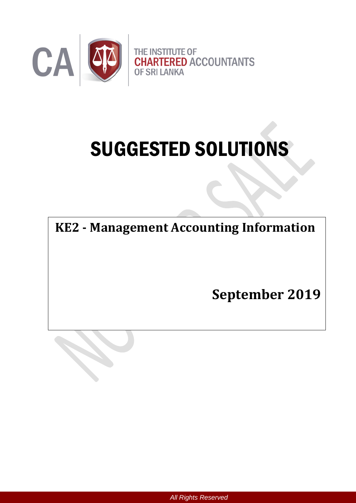

# SUGGESTED SOLUTIONS

**KE2 - Management Accounting Information**

**September 2019**



*All Rights Reserved*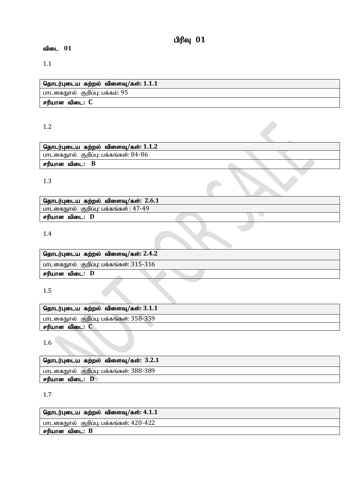# பிரிவு  $01$

# விடை 01

# 1.1

| தொடர்புடைய கற்றல் விளைவு/கள்: $1.1.1\,$ |
|-----------------------------------------|
| பாடகைநூல் குறிப்பு: பக்கம்: 95          |
| சரியான விடை: C                          |

# 1.2

# 1.3

| தொடர்புடைய கற்றல் விளைவு/கள்: $2.6.1$ |  |  |
|---------------------------------------|--|--|
| பாடகைநூல் குறிப்பு: பக்கங்கள் : 47-49 |  |  |
| சரியான விடை: D                        |  |  |
|                                       |  |  |

# 1.4

| தொடர்புடைய கற்றல் விளைவு/கள்: 2.4.2    |  |
|----------------------------------------|--|
| பாடகைநூல் குறிப்பு: பக்கங்கள்: 315-316 |  |
| சரியான விடை: D                         |  |
|                                        |  |

# 1.5

| தொடர்புடைய கற்றல் விளைவு/கள்: $3.1.1$   |
|-----------------------------------------|
| பாடகைநூல்  குறிப்பு: பக்கங்கள்: 358-359 |
| சரியான விடை: C                          |
|                                         |

1.6

| ் தொடர்புடைய கற்றல் விளைவு/கள்: $3.2.1\,$ |
|-------------------------------------------|
| ' பாடகைநூல் குறிப்பு: பக்கங்கள்: 388-389  |
| சரியான விடை: D                            |

# 1.7

| தொடர்புடைய கற்றல் விளைவு/கள்: 4.1.1         |
|---------------------------------------------|
| ் பாடகைநுால்   குறிப்பு: பக்கங்கள்: 420-422 |
| ' சரியான விடை: B                            |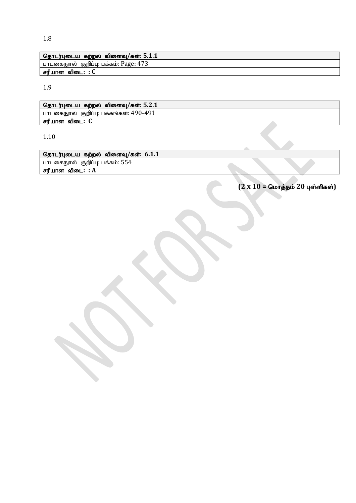1.8

| தொடர்புடைய கற்றல் விளைவு/கள்: $5.1.1$  |
|----------------------------------------|
| பாடகைநூல்  குறிப்பு: பக்கம்: Page: 473 |
| சரியான விடை: : C                       |

1.9

| தொடர்புடைய கற்றல் விளைவு/கள்: 5.2.1    |  |
|----------------------------------------|--|
| பாடகைநூல் குறிப்பு: பக்கங்கள்: 490-491 |  |
| சரியான விடை: C                         |  |
|                                        |  |

1.10

| தொடர்புடைய கற்றல் விளைவு/கள்: $6.1.1$ |  |  |
|---------------------------------------|--|--|
| பாடகைநூல்  குறிப்பு: பக்கம்: 554      |  |  |
| சரியான<br>விடை: : A                   |  |  |

 $(2 \times 10 =$  மொத்தம் 20 புள்ளிகள்)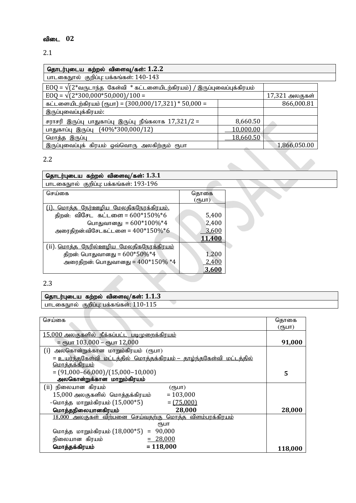# விடை 02

# 2.1

| தொடர்புடைய கற்றல் விளைவு/கள்: $1.2.2$                                                                    |           |                |  |
|----------------------------------------------------------------------------------------------------------|-----------|----------------|--|
| பாடகைநூல் குறிப்பு: பக்கங்கள்: 140-143                                                                   |           |                |  |
| $EOQ = \sqrt{(2* \text{a} \cdot \text{b}) \text{b}}$ கேள்வி * கட்டளையிடற்கிரயம்) / இருப்புவைப்புக்கிரயம் |           |                |  |
| $EOQ = \sqrt{(2*300,000*50,000)/100}$                                                                    |           | 17,321 அலகுகள் |  |
| <u>கட்டளையிடற்கிரய</u> ம் (ரூபா) = (300,000/17,321) * 50,000 =                                           |           | 866,000.81     |  |
| இருப்புவைப்புக்கிரயம்:                                                                                   |           |                |  |
| சராசரி இருப்பு பாதுகாப்பு இருப்பு நீங்கலாக $17,321/2 =$                                                  | 8,660.50  |                |  |
| பாதுகாப்பு இருப்பு (40%*300,000/12)                                                                      | 10,000.00 |                |  |
| மொத்த இருப்பு                                                                                            | 18,660.50 |                |  |
| இருப்புவைப்புக் கிரயம் ஒவ்வொரு அலகிற்கும் ரூபா                                                           |           | 1,866,050.00   |  |

# 2.2

| தொடர்புடைய கற்றல் விளைவு/கள்: 1.3.1           |                |
|-----------------------------------------------|----------------|
| பாடகைநூல் குறிப்பு: பக்கங்கள்: 193-196        |                |
| செய்கை                                        | தொகை<br>(ரூபா) |
| <u>(i). மொத்த நேர்ஊழிய மேலதிகநேரக்கிரயம்.</u> |                |
| திறன்: விசேட கட்டளை = $600*150\%*6$           | 5,400          |
| பொதுவானது = $600*100\%*4$                     | 2,400          |
| அரைதிறன்:விசேடகட்டளை = $400*150\%*6$          | 3.600          |
|                                               | 11,400         |
| (ii). மொத்த நேரில்ஊழிய மேலதிகநேரக்கிரயம்      |                |
| திறன்: பொதுவானது = $600*50\%*4$               | 1,200          |
| அரைதிறன்: பொதுவானது = $400*150\%$ *4          | 2,400          |
|                                               | 3.600          |

 $\overline{\phantom{a}}$ 

## 2.3

## தொடர்புடைய கற்றல் விளைவு/கள்:  $1.1.3$

பாடகைநூல் குறிப்பு: பக்கங்கள்:  $110\text{-}115$ 

| செய்கை                                                                      | தொகை<br>$(opl$ ит) |
|-----------------------------------------------------------------------------|--------------------|
| 15,000 அலகுகளில் நீக்கப்பட்ட படிமுறைக்கிரயம்                                |                    |
| = съит $103,000$ – съит $12,000$                                            | 91,000             |
| (i) அலகொன்றுக்கான மாறும்கிரயம் (ரூபா)                                       |                    |
| <u> = உயர்ந்தகேள்வி மட்டத்தில் மொத்தக்கிரயம் – தாழ்ந்தகேள்வி மட்டத்தில்</u> |                    |
| <u> மொத்தக்கிரயம்</u>                                                       |                    |
| $=(91,000-66,000)/(15,000-10,000)$                                          | 5                  |
| அலகொன்றுக்கான மாறும்கிரயம்                                                  |                    |
| (ii) நிலையான கிரயம்<br>(ரூபா)                                               |                    |
| $15,\!000$ அலகுகளில் மொத்தக்கிரயம்<br>$= 103,000$                           |                    |
| -மொத்த மாறும்கிரயம் (15,000*5)<br>$=(75,000)$                               |                    |
| 28,000<br>மொத்தநிலையானகிரயம்                                                | 28,000             |
| 18,000 அலகுகள் விற்பனை செய்வதற்கு மொத்த விளம்பரக்கிரயம்                     |                    |
| ₹ҦШП                                                                        |                    |
| மொத்த மாறும்கிரயம் $(18,000*5)$ =<br>90,000                                 |                    |
| $= 28,000$<br>நிலையான கிரயம்                                                |                    |
| $= 118,000$<br>மொத்தக்கிரயம்                                                | 118,000            |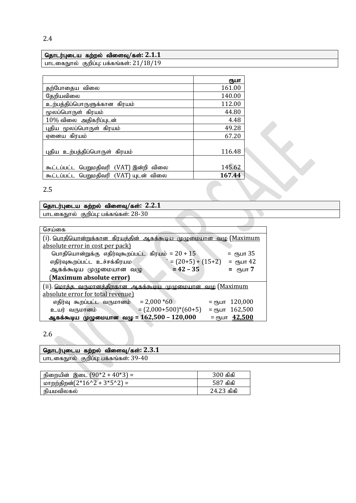| தொடர்புடைய கற்றல் விளைவு/கள்: $2.1.1$   |  |
|-----------------------------------------|--|
| பாடகைநூல் குறிப்பு: பக்கங்கள்: 21/18/19 |  |

|                                            | ரூபா   |
|--------------------------------------------|--------|
| தற்போதைய விலை                              | 161.00 |
| தேறியவிலை                                  | 140.00 |
| உற்பத்திப்பொருளுக்கான கிரயம்               | 112.00 |
| மூலப்பொருள் கிரயம்                         | 44.80  |
| $10\%$ விலை அதிகரிப்புடன்                  | 4.48   |
| புதிய மூலப்பொருள் கிரயம்                   | 49.28  |
| ஏனைய கிரயம்                                | 67.20  |
|                                            |        |
| புதிய உற்பத்திப்பொருள் கிரயம்              | 116.48 |
|                                            |        |
| கூட்டப்பட்ட பெறுமதிவரி (VAT) இன்றி விலை    | 145.62 |
| பெறுமதிவரி (VAT) யுடன் விலை<br>கூட்டப்பட்ட | 167.44 |

# 2.5

#### தொடர்புடைய கற்றல் விளைவு/கள்:  $2.2.1$

பாடகைநூல் குறிப்பு: பக்கங்கள்:  $28$ - $30$ 

| செய்கை                                                                 |                                      |  |  |
|------------------------------------------------------------------------|--------------------------------------|--|--|
| (i) <u>பொதியொன்றுக்கான கிரயத்தின் ஆகக்கூடிய முழுமையான வழு (Maximum</u> |                                      |  |  |
| absolute error in cost per pack)                                       |                                      |  |  |
| பொதியொன்றுக்கு எதிர்வுகூறப்பட்ட கிரயம் = $20 + 15$                     | = ரூபா 35                            |  |  |
| $= (20+5) + (15+2)$<br>எதிர்வுகூறப்பட்ட உச்சக்கிரயம                    | = ரூபா 42                            |  |  |
| $= 42 - 35$<br>ஆகக்கூடிய முழுமையான வழு                                 | = ரூபா 7                             |  |  |
| (Maximum absolute error)                                               |                                      |  |  |
| (ii). மொத்த வருமானத்திறகான ஆகக்கூடிய முழுமையான வழு (Maximum            |                                      |  |  |
| absolute error for total revenue)                                      |                                      |  |  |
| $= 2,000 * 60$<br>எதிர்வு கூறப்பட்ட வருமானம்                           | 120,000<br>$=$ $\epsilon$ Ҧ $\Box$ П |  |  |
| $=(2,000+500)*(60+5)$<br>உயர் வருமானம்                                 | $=$ ரூபா $162,500$                   |  |  |
| ஆகக்கூடிய முழுமையான வழு = 162,500 – 120,000                            | $=$ ரூபா $42,500$                    |  |  |

# 2.6

| ' தொடர்புடைய கற்றல் விளைவு/கள்: $2.3.1\,$ |
|-------------------------------------------|
| பாடகைநூல் குறிப்பு: பக்கங்கள்: 39-40      |
|                                           |

| ' நிறையின் இடை (90*2 + 40*3) =    | 300 கிகி   |
|-----------------------------------|------------|
| மாறற்திறன் $(2^*16'2 + 3^*5'2)$ = | 587 கிகி   |
| நியமவிலகல்                        | 24.23 கிகி |

2.4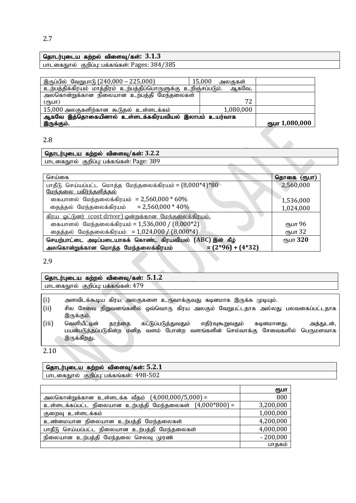#### தொடர்புடைய கற்றல் விளைவு/கள்:  $3.1.3$

பாடகைநூல் குறிப்பு: பக்கங்கள்: Pages: 384/385

| இருப்பில் வேறுபாடு (240,000 – 225,000)                               | 15,000<br>அலகுகள் |                |
|----------------------------------------------------------------------|-------------------|----------------|
|                                                                      |                   |                |
| உற்பத்திக்கிரயம் மாத்திரம் உற்பத்திப்பொருளுக்கு உறிஞ்சப்படும். ஆகவே, |                   |                |
| அலகொன்றுக்கான நிலையான உற்பத்தி மேந்தலைகள்                            |                   |                |
| (mL)                                                                 | 72                |                |
|                                                                      |                   |                |
| 15,000 அலகுகளிற்கான கூடுதல் உள்ளடக்கம்                               | 1,080,000         |                |
|                                                                      |                   |                |
| ஆகவே இத்தொகையினால் உள்ளடக்ககிரயவியல் இலாபம் உயர்வாக                  |                   |                |
| இருக்கும்.                                                           |                   | ரூபா 1,080,000 |
|                                                                      |                   |                |

#### 2.8

#### njhlu;Gila fw;wy; tpisT**/**fs;**: 3.2.2** பாடகைநூல் குறிப்பு: பக்கங்கள்: Page: 389

| செய்கை                                                         | தொகை (ரூபா) |
|----------------------------------------------------------------|-------------|
| பாதீடு செய்யப்பட்ட மொத்த மேந்தலைக்கிரயம் = $(8,000*4)*80$      | 2,560,000   |
| <u>மேந்தலை பகிர்ந்தளித்தல்</u>                                 |             |
| கையாளல் மேந்தலைக்கிரயம் = 2,560,000 $*$ 60%                    | 1,536,000   |
| தைத்தல் மேந்தலைக்கிரயம் = 2,560,000 * $40\%$                   | 1,024,000   |
| <u>கிரய ஓட்டுனர் (cost driver) ஒன்றுக்கான மேந்தலைக்கிரயம்.</u> |             |
| கையாளல் மேந்தலைக்கிரயம் = 1,536,000 / (8,000*2)                | ரூபா 96     |
| நைத்தல் மேந்தலைக்கிரயம் = 1,024,000 / (8,000*4)                | ரூபா 32     |
| செயற்பாட்டை அடிப்படையாகக் கொண்ட கிரயவியல் (ABC) இன் கீழ்       | ரூபா 320    |
| அலகொன்றுக்கான மொத்த மேந்தலைக்கிரயம்<br>$=(2*96)+(4*32)$        |             |

2.9

| $^{\prime}$ தொடர்புடைய கற்றல் விளைவு/கள்: $5.1.2$ |
|---------------------------------------------------|
| ' பாடகைநூல்  குறிப்பு: பக்கங்கள்: 479             |
|                                                   |
| $\sqrt{1}$                                        |

- $(i)$  அளவிடக்கூடிய கிரய அலகுகளை உருவாக்குவது கடினமாக இருக்க முடியும்.
- (ii) சில சேவை நிறுவனங்களில் ஒவ்வொரு கிரய அலகும் வேறுபட்டதாக அல்லது பலவகைப்பட்டதாக இருக்கும்.
- (iii) வெளியீட்டின் தரத்தை கட்டுப்படுத்துவதும் எதிர்வுகூறுவதும் கடினமானது. அத்துடன், பயன்படுத்தப்படுகின்ற மனித வளம் போன்ற வளங்களின் செல்வாக்கு சேவைகளில் பெருமளவாக இருக்கிறது.

2.10

## தொடர்புடைய கற்றல் விளைவு/கள்: 5.2.1

பாடகைநூல் குறிப்பு: பக்கங்கள்: 498-502

|                                                          | ரூபா       |
|----------------------------------------------------------|------------|
| அலகொன்றுக்கான உள்ளடக்க வீதம் $(4,000,000/5,000)$ =       | 800        |
| உள்ளடக்கப்பட்ட நிலையான உற்பத்தி மேந்தலைகள் (4,000*800) = | 3,200,000  |
| குறைவு உள்ளடக்கம்                                        | 1,000,000  |
| உண்மையான நிலையான உற்பத்தி மேந்தலைகள்                     | 4,200,000  |
| பாதீடு செய்யப்பட்ட நிலையான உற்பத்தி மேந்தலைகள்           | 4,000,000  |
| நிலையான உற்பத்தி மேந்தலை செலவு முரண்                     | $-200,000$ |
|                                                          | பாதகம்     |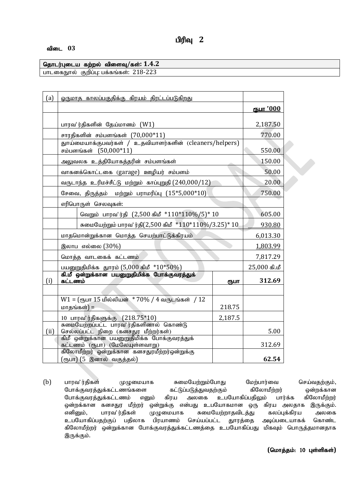#### விடை 03

#### தொடர்புடைய கற்றல் விளைவு/கள்: 1.4.2 பாடகைநூல் குறிப்பு: பக்கங்கள்: 218-223

| (a)  | ஒருமாத காலப்பகுதிக்கு கிரயம் திரட்டப்படுகிறது                                   |                                                                                |          |                  |  |
|------|---------------------------------------------------------------------------------|--------------------------------------------------------------------------------|----------|------------------|--|
|      |                                                                                 |                                                                                |          | <u>ரூபா *000</u> |  |
|      | பாரவ'ர்திகளின் தேய்மானம் (W1)                                                   |                                                                                |          | 2,187.50         |  |
|      |                                                                                 | சாரதிகளின் சம்பளங்கள் $(70,000*11)$                                            |          | 770.00           |  |
|      |                                                                                 | துாய்மையாக்குபவர்கள் / உதவியாளர்களின் (cleaners/helpers)                       |          |                  |  |
|      |                                                                                 | சம்பளங்கள் (50,000*11)                                                         |          | 550.00           |  |
|      |                                                                                 | அலுவலக உத்தியோகத்தரின் சம்பளங்கள்                                              |          | 150.00           |  |
|      |                                                                                 | வாகனக்கொட்டகை (garage) ஊழியர் சம்பளம்                                          |          | 50.00            |  |
|      |                                                                                 | வருடாந்த உரிமச்சீட்டு மற்றும் காப்புறுதி (240,000/12)                          |          | 20.00            |  |
|      |                                                                                 | சேவை, திருத்தம் மற்றும் பராமரிப்பு $(15*5,000*10)$                             |          | 750.00           |  |
|      |                                                                                 | எரிபொருள் செலவுகள்:                                                            |          |                  |  |
|      | வெறும் பாரவ'ர்தி (2,500 கிமீ *110*110%/5)* 10                                   |                                                                                |          | 605.00           |  |
|      | சுமையேற்றும் பாரவ'ர்தி(2,500 கிமீ *110*110%/3.25)* 10                           |                                                                                | 930.80   |                  |  |
|      | மாதமொன்றுக்கான மொத்த செயற்பாட்டுக்கிரயம்                                        |                                                                                | 6,013.30 |                  |  |
|      | இலாப எல்லை (30%)                                                                |                                                                                | 1,803.99 |                  |  |
|      |                                                                                 | மொத்த வாடகைக் கட்டணம்                                                          |          | 7,817.29         |  |
|      |                                                                                 | பயனுறுதிமிக்க துாரம் (5,000 கிமீ * $10*50\%$ )                                 |          | $25,000$ கி.மீ   |  |
| (i)  | கட்டணம்                                                                         | கி.மீ ஒன்றுக்கான பயனுறுதிமிக்க போக்குவரத்துக்                                  | ரூபா     | 312.69           |  |
|      |                                                                                 |                                                                                |          |                  |  |
|      |                                                                                 | $W1 = ($ ரூபா 15 மில்லியன் $* 70\% / 4$ வருடங்கள் / 12                         |          |                  |  |
|      |                                                                                 | மாதங்கள்) =                                                                    | 218.75   |                  |  |
|      |                                                                                 | 10 பாரவ் ரதிகளுக்கு $(218.75*10)$                                              | 2,187.5  |                  |  |
| (ii) | சுமையேற்றப்பட்ட பாரவ'ர்திகளினால் கொண்டு<br>செல்லப்பட்ட நிறை (கனசதுர மீற்றர்கள்) |                                                                                | 5.00     |                  |  |
|      |                                                                                 | கிமீ ஒன்றுக்கான பயனுறுதிமிக்க போக்குவரத்துக்<br>கட்டணம் (ரூபா) (மேலேயுள்ளவாறு) |          | 312.69           |  |
|      | கிலோமீற்றர் ஒன்றுக்கான கனசதுரமீற்றர்ஒன்றுக்கு                                   |                                                                                |          |                  |  |
|      |                                                                                 | (ரூபா) (5 இனால் வகுத்தல்)                                                      |          | 62.54            |  |

(b) பாரவ'ர்திகள் முழுமையாக சுமையேற்றும்போது மேற்பார்வை செய்வதற்கும், போக்குவரத்துக்கட்டணங்களை கட்டுப்படுத்துவதற்கும் கிலோமீற்றர் ஒன்றக்கான போக்குவரத்துக்கட்டணம் எனும் கிரய அலகை உபயோகிப்பதிலும் பார்க்க கிலோமீற்றர் ஒன்றக்கான கனசதுர மீற்றர் ஒன்றுக்கு என்பது உபயோகமான ஒரு கிரய அலதாக இருக்கும். எனினும், பாரவ'ர்திகள் முழுமையாக சுமையேற்றாதவிடத்து கலப்புக்கிரய அலகை உபயோகிப்பதற்குப் பதிலாக பிரயாணம் செய்யப்பட்ட துாரத்தை அடிப்படையாகக் கொண்ட கிலோமீற்றர் ஒன்றுக்கான போக்குவரத்துக்கட்டணத்தை உபயோகிப்பது மிகவும் பொருத்தமானதாக இருக்கும்.

 $($ மொத்தம்: 10 புள்ளிகள்)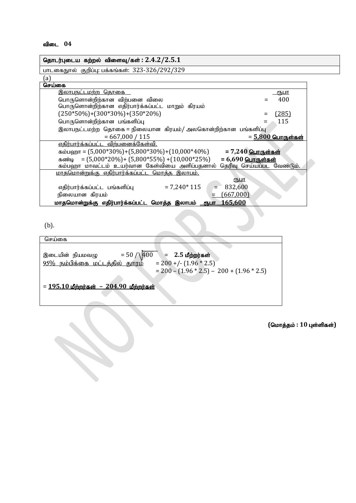| தொடர்புடைய கற்றல் விளைவு/கள்: $2.4.2/2.5.1$                                                  |
|----------------------------------------------------------------------------------------------|
| பாடகைநூல் குறிப்பு: பக்கங்கள்: 323-326/292/329                                               |
| $\left[ a\right]$                                                                            |
| செய்கை                                                                                       |
| <u>இலாபநட்டமற்ற தொகை  </u><br><u>(ҦШТ</u>                                                    |
| 400<br>பொருளொன்றிற்கான விற்பனை விலை                                                          |
| பொருளொன்றிற்கான எதிர்பார்க்கப்பட்ட மாறும் கிரயம்                                             |
| $(250*50\%) + (300*30\%) + (350*20\%)$<br>(285)                                              |
| 115<br>பொருளொன்றிற்கான பங்களிப்பு                                                            |
| இலாபநட்டமற்ற  தொகை = நிலையான  கிரயம்/ அலகொன்றிற்கான  பங்களிப்பு                              |
| $= 667,000 / 115$<br>$= 5,800$ பொருள்கள்                                                     |
| எதிர்பார்க்கப்பட்ட விற்பனைக்கேள்வி.                                                          |
| $\mu$ = 7,240 $\mu$ m = (5,000*30%)+(5,800*30%)+(10,000*40%) = 7,240 $\mu$ m = 6.000 = 7,240 |
| கண்டி = $(5,000*20\%)$ + $(5,800*55\%)$ + $(10,000*25\%)$<br>= $6,690$ பொருள்கள்             |
| கம்பஹா மாவட்டம் உயர்வான கேள்வியை அளிப்பதனால் தெரிவு செய்யப்பட வேண்டும்.                      |
| <u>மாதமொன்றுக்கு எதிர்பார்க்கப்பட்ட மொத்த இலாபம்.</u>                                        |
| ரூபா                                                                                         |
| $= 7,240*115$<br>832,600<br>எதிர்பார்க்கப்பட்ட பங்களிப்பு                                    |
| (667,000)<br>நிலையான கிரயம்                                                                  |
| 165,600<br>மாதமொன்றுக்கு எதிர்பார்க்கப்பட்ட மொத்த இலாபம் <u>ரூபா</u>                         |

(b).

செய்கை ,ilapd; epaktO = 50 / 400 = **2.5** kPw;wu;fs ;  $95\%$  நம்பிக்கை மட்டத்தில் தூரம்  $= 200 - (1.96 * 2.5) - 200 + (1.96 * 2.5)$  $= 195.10$  மீற்றர்கள் – 204.90 மீற்றர்கள்

 $($ மொத்தம் : 10 புள்ளிகள்)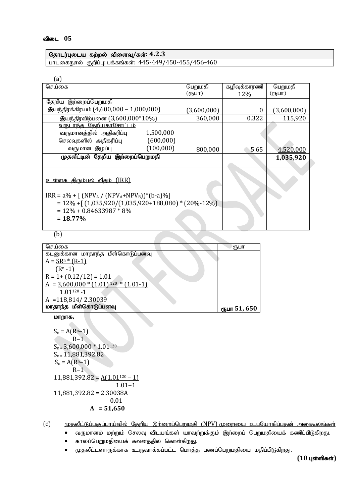### njhlu;Gila fw;wy; tpisT**/**fs;**: 4.2.3**

பாடகைநூல் குறிப்பு: பக்கங்கள்: 445-449/450-455/456-460

| $\mathsf{a}$ )                                           |             |              |             |  |
|----------------------------------------------------------|-------------|--------------|-------------|--|
| செய்கை                                                   | பெறுமதி     | கழிவுக்காரணி | பெறுமதி     |  |
|                                                          | (ரூபா)      | 12\%         | (ரூபா)      |  |
| தேறிய இற்றைப்பெறுமதி                                     |             |              |             |  |
| இயந்திரக்கிரயம் (4,600,000 – 1,000,000)                  | (3,600,000) | $\theta$     | (3,600,000) |  |
| இயந்திரவிற்பனை (3,600,000*10%)                           | 360,000     | 0.322        | 115,920     |  |
| வருடாந்த தேறியகாசோட்டம்                                  |             |              |             |  |
| 1,500,000<br>வருமானத்தில் அதிகரிப்பு                     |             |              |             |  |
| (600,000)<br>செலவுகளில் அதிகரிப்பு                       |             |              |             |  |
| (100,000)<br>வருமான இழப்பு                               | 800,000     | 5.65         | 4,520,000   |  |
| முதலீட்டின் தேறிய இற்றைப்பெறுமதி                         |             |              | 1,035,920   |  |
|                                                          |             |              |             |  |
|                                                          |             |              |             |  |
| <u>உள்ளக திரும்பல் வீதம் (IRR)</u>                       |             |              |             |  |
|                                                          |             |              |             |  |
| $IRR = a\% + [(NPVA / (NPVA+NPVB))*(b-a)\%]$             |             |              |             |  |
| $= 12\% + [(1,035,920/(1,035,920+188,080)*(20\% -12\%)]$ |             |              |             |  |
| $= 12\% + 0.84633987 * 8\%$                              |             |              |             |  |
| $= 18.77\%$                                              |             |              |             |  |
|                                                          |             |              |             |  |

(b)

| செய்கை                                             | ரூபா                |
|----------------------------------------------------|---------------------|
| <u>கடனுக்கான மாதாந்த மீள்கொடுப்பனவு</u>            |                     |
| $A = SRn * (R-1)$                                  |                     |
| $(Rn - 1)$                                         |                     |
| $R = 1 + (0.12/12) = 1.01$                         |                     |
| $A = 3,600,000 * (1.01)$ <sup>120</sup> * (1.01-1) |                     |
| $1.01120 - 1$                                      |                     |
| $A = 118,814/2.30039$                              |                     |
| மாதாந்த மீள்கொடுப்பனவு                             | <u>ளுபா 51, 650</u> |
|                                                    |                     |

**மாறாக,** 

 $S_n = A(R^{n-1})$  $R-1$  $S_n = 3,600,000 * 1.01^{120}$  $S_n = 11,881,392.82$  $S_n = A(R<sup>n</sup>-1)$  $R-1$  $11,881,392.82 = A(1.01^{120} - 1)$  $1.01 - 1$ 11,881,392.82 = 2.30038A 0.01  **A = 51,650**

 $(c)$  முதலீட்டுப்பகுப்பாய்வில் தேறிய இற்றைப்பெறுமதி (NPV) முறையை உபயோகிப்பதன் அனுகூலங்கள்

- வருமானம் மற்றும் செலவு விடயங்கள் யாவற்றுக்கும் இற்றைப் பெறுமதியைக் கணிப்பிடுகிறது.
- $\bullet$  காலப்பெறுமதியைக் கவனத்தில் கொள்கிறது.
- $\bullet$  முதலீட்டளாருக்காக உருவாக்கப்பட்ட மொத்த பணப்பெறுமதியை மதிப்பிடுகிறது.

 $(10 \text{ L}$ ள்ளிகள்)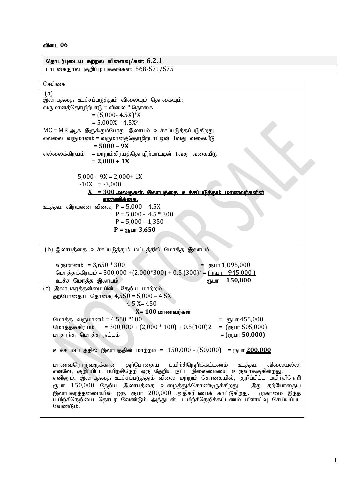| தொடர்புடைய கற்றல் விளைவு/கள்: $6.2.1\,$                                                                                                                      |  |  |  |  |
|--------------------------------------------------------------------------------------------------------------------------------------------------------------|--|--|--|--|
| பாடகைநூல் குறிப்பு: பக்கங்கள்: 568-571/575                                                                                                                   |  |  |  |  |
|                                                                                                                                                              |  |  |  |  |
| செய்கை                                                                                                                                                       |  |  |  |  |
| (a)                                                                                                                                                          |  |  |  |  |
| <u>இலாபத்தை உச்சப்படுத்தும் விலையும் தொகையும்.</u>                                                                                                           |  |  |  |  |
| வருமானத்தொழிற்பாடு = விலை * தொகை<br>$=(5,000 - 4.5X)*X$                                                                                                      |  |  |  |  |
| $= 5.000X - 4.5X^2$                                                                                                                                          |  |  |  |  |
| MC = MR ஆக இருக்கும்போது இலாபம் உச்சப்படுத்தப்படுகிறது                                                                                                       |  |  |  |  |
| எல்லை வருமானம் = வருமானத்தொழிற்பாட்டின் 1வது வகையீடு                                                                                                         |  |  |  |  |
| $= 5000 - 9X$                                                                                                                                                |  |  |  |  |
| எல்லைக்கிரயம்<br>= மாறும்கிரயத்தொழிற்பாட்டின் 1வது வகையீடு                                                                                                   |  |  |  |  |
| $= 2,000 + 1X$                                                                                                                                               |  |  |  |  |
|                                                                                                                                                              |  |  |  |  |
| $5,000 - 9X = 2,000 + 1X$                                                                                                                                    |  |  |  |  |
| $-10X = -3,000$                                                                                                                                              |  |  |  |  |
| <u>X = <math>300</math> அலகுகள், இலாபத்தை உச்சப்படுத்தும் மாணவர்களின்</u>                                                                                    |  |  |  |  |
| <u>எண்ணிக்கை.</u>                                                                                                                                            |  |  |  |  |
| உத்தம விற்பனை விலை, $P = 5,000 - 4.5X$                                                                                                                       |  |  |  |  |
| $P = 5,000 - 4.5 * 300$                                                                                                                                      |  |  |  |  |
| $P = 5,000 - 1,350$                                                                                                                                          |  |  |  |  |
| $P = q_{\text{B}}$ ur 3,650                                                                                                                                  |  |  |  |  |
|                                                                                                                                                              |  |  |  |  |
| (b) <u>இலாபத்தை உச்சப்படுத்தும் மட்டத்தில் மொத்த இலாபம்</u>                                                                                                  |  |  |  |  |
|                                                                                                                                                              |  |  |  |  |
| வருமானம் = $3,650 * 300$<br>= спушт $1,095,000$                                                                                                              |  |  |  |  |
| மொத்தக்கிரயம் = 300,000 + (2,000*300) + 0.5 (300) <sup>2</sup> = <u>(ரூபா. 945,000)</u>                                                                      |  |  |  |  |
| 150.000<br>உச்ச மொத்த இலாபம்<br>ளுபா                                                                                                                         |  |  |  |  |
| (C) இலாபகரத்தன்மையின் தேறிய மாற்றம்                                                                                                                          |  |  |  |  |
| தற்போதைய தொகை, 4,550 = 5,000 - 4.5X                                                                                                                          |  |  |  |  |
| $4.5 X = 450$                                                                                                                                                |  |  |  |  |
| $X = 100$ மாணவர்கள்<br>மொத்த வருமானம் = 4,550 *100<br>= $\epsilon$ пушт 455,000                                                                              |  |  |  |  |
| $=$ 300,000 + (2,000 * 100) + 0.5(100)2<br>= $(\text{b} = 505,000)$<br>மொத்தக்கிரயம்                                                                         |  |  |  |  |
| $=$ (сҧшт 50,000)<br>மாதாந்த மொத்த நட்டம்                                                                                                                    |  |  |  |  |
|                                                                                                                                                              |  |  |  |  |
| உச்ச மட்டத்தில் இலாபத்தின் மாற்றம் = 150,000 – (50,000) = ரூபா 200,000                                                                                       |  |  |  |  |
|                                                                                                                                                              |  |  |  |  |
| தற்போதைய<br>பயிற்சிநெறிக்கட்டணம்<br>மாணவரொருவருக்கான<br>உத்தம<br>விலையல்ல.                                                                                   |  |  |  |  |
| எனவே, குறிப்பிட்ட பயிற்சிநெறி ஒரு தேறிய நட்ட நிலைமையை உருவாக்குகின்றது.                                                                                      |  |  |  |  |
| எனினும், இலாபத்தை உச்சப்படுத்தும் விலை மற்றும் தொகையில், குறிப்பிட்ட பயிற்சிநெறி                                                                             |  |  |  |  |
| ரூபா $150,000$ தேறிய இலாபத்தை உழைத்துக்கொண்டிருக்கிறது.<br>இது தற்போதைய                                                                                      |  |  |  |  |
| இலாபகரத்தன்மையில் ஒரு ரூபா 200,000 அதிகரிப்பைக் காட்டுகிறது.<br>முகாமை இந்த<br>பயிற்சிநெறியை தொடர வேண்டும் அத்துடன், பயிற்சிநெறிக்கட்டணம் மீளாய்வு செய்யப்பட |  |  |  |  |
| வேண்டும்.                                                                                                                                                    |  |  |  |  |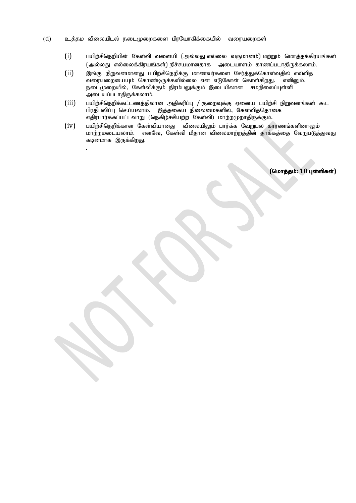#### $(d)$  e உத்தம விலையிடல் நடைமுறைகளை பிாயோகிக்கையில் வரையறைகள்

.

- $(i)$  பயிற்சிநெறியின் கேள்வி வளையி (அல்லது எல்லை வருமானம்) மற்றும் மொத்தக்கிரயங்கள் (அல்லது எல்லைக்கிரயங்கள்) நிச்சயமானதாக அடையாளம் காணப்படாதிருக்கலாம்.
- $(i)$  இங்கு நிறுவனமானது பயிற்சிநெறிக்கு மாணவர்களை சேர்த்துக்கொள்வதில் எவ்வித .<br>வரையறையையும் கொண்டிருக்கவில்லை என எடுகோள் கொள்கிறது. எனினும்,  $E$ நடைமுறையில், கேள்விக்கும் நிரம்பலுக்கும் இடையிலான சமநிலைப்புள்ளி அடையப்படாதிருக்கலாம்.
- $(iii)$  பயிற்சிநெறிக்கட்டணத்திலான அதிகரிப்பு / குறைவுக்கு ஏனைய பயிற்சி நிறுவனங்கள் கூட பிரதிபலிப்பு செய்யலாம். இத்தகைய நிலைமைகளில், கேள்வித்தொகை எதிர்பார்க்கப்பட்டவாறு (நெகிழ்ச்சியற்ற கேள்வி) மாற்றமுறாதிருக்கும்.
- $(iv)$  பயிற்சிநெறிக்கான கேள்வியானது விலையிலும் பார்க்க வேறுபல காரணங்களினாலும் மாற்றமடையலாம். எனவே, கேள்வி மீதான விலைமாற்றத்தின் தாக்கத்தை வேறுபடுத்துவது கடினமாக இருக்கிறது.

 $($ மொத்தம்: 10 புள்ளிகள்)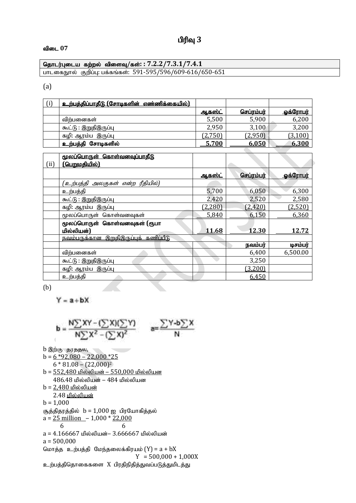# பிரிவு 3

#### tpil **07**

#### njhlu;Gila fw;wy; tpisT**/**fs;**: : 7.2.2/7.3.1/7.4.1** பாடகைநூல் குறிப்பு: பக்கங்கள்: 591-595/596/609-616/650-651

(a)

| உற்பத்திப்பாதீடு (சோடிகளின் எண்ணிக்கையில்) |                |           |                 |
|--------------------------------------------|----------------|-----------|-----------------|
|                                            | <u> ஆகஸ்ட்</u> | செபாம்பர் | <u> செரோபர்</u> |
| விற்பனைகள்                                 | 5,500          | 5,900     | 6,200           |
| கூட்டு : இறுதிஇருப்பு                      | 2,950          | 3,100     | 3,200           |
| கழி: ஆரம்ப இருப்பு                         | (2.750)        | (2,950)   | (3,100)         |
| <u>உற்பத்</u> தி சோடிகளில்                 | 5,700          | 6,050     | 6,300           |

|      | மூலப்பொருள் கொள்வனவுப்பாதீடு                           |               |                   |                 |
|------|--------------------------------------------------------|---------------|-------------------|-----------------|
| (ii) | <u>(பெறுமதியில்)</u>                                   |               |                   |                 |
|      |                                                        | <u>ஆகஸ்ட்</u> | <u>செப்ரம்பர்</u> | <u>ஓக்ரோபர்</u> |
|      | (உற்பத்தி அலகுகள் என்ற ரீதியில்)                       |               |                   |                 |
|      | உற்பத்தி                                               | 5,700         | 6,050             | 6,300           |
|      | <u>கூட்டு : இறுதிஇருப்பு</u>                           | 2,420         | 2,520             | 2,580           |
|      | கழி: ஆரம்ப இருப்பு                                     | (2,280)       | (2, 420)          | (2,520)         |
|      | மூலப்பொருள் கொள்வனவுகள்                                | 5,840         | 6,150             | 6,360           |
|      | மூலப்பொருள் கொள்வனவுகள் (ரூபா                          |               |                   |                 |
|      | மில்லியன்)                                             | 11.68         | 12.30             | 12.72           |
|      | <u>இறுதிஇருப்புக் கணிப்பீடு</u><br><u>நவம்பருக்கான</u> |               |                   |                 |
|      |                                                        |               | நவம்பர்           | டிசம்பர்        |
|      | விற்பனைகள்                                             |               | 6,400             | 6,500.00        |
|      | கூட்டு : இறுதிஇருப்பு                                  |               | 3,250             |                 |
|      | கழி: ஆரம்ப இருப்பு                                     |               | (3,200)           |                 |
|      | உற்பத்தி                                               |               | 6,450             |                 |

(b)

 $Y = a + bX$ 

$$
\mathbf{b} = \frac{N\sum XY - (\sum X)(\sum Y)}{N\sum X^2 - (\sum X)^2} \qquad \mathbf{a} = \frac{\sum Y \cdot \mathbf{b}\sum X}{N}
$$

b இற்கு தரததல<u>,</u>

 $b = 6 *92,080 - 22,000 *25$  $6 * 81.08 - (22,000)^2$  $b = 552,480$  மில்லியன் – 550,000 மில்லியன  $486.48$  மில்லியன் –  $484$  மில்லியன  $b = 2,480$  மில்லியன் 2.48 <u>மில்லியன்</u>  $b = 1,000$ சூத்திதரத்தில்  $b = 1,000$  ஐ பிரயோகித்தல்  $a = 25$  million  $-1,000 * 22,000$  6 6  $a = 4.166667$  மில்லியன்-  $3.666667$  மில்லியன்  $a = 500,000$ மொத்த உற்பத்தி மேந்தலைக்கிரயம்  $(Y) = a + bX$  $Y = 500,000 + 1,000X$ உற்பத்திதொகைகளை  $X$  பிரதிநிதித்துவப்படுத்துமிடத்து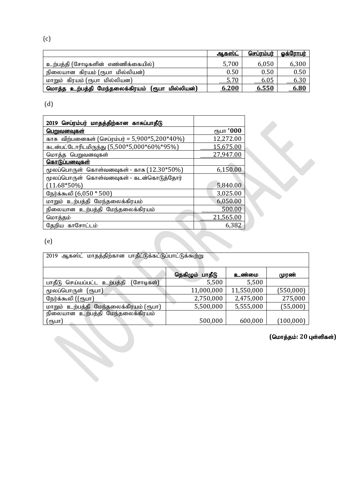(c)

|                                                 | <u>ஆகஸ்ட்</u> | செப்ாம்பர் | <u>கெ்ரோபர்</u> |
|-------------------------------------------------|---------------|------------|-----------------|
| உற்பத்தி (சோடிகளின் எண்ணிக்கையில்)              | 5,700         | 6,050      | 6,300           |
| நிலையான கிரயம் (ரூபா மில்லியன்)                 | 0.50          | 0.50       | 0.50            |
| மாறும் கிரயம் (ரூபா மில்லியன)                   | 5.70          | 6.05       | <u>6.30</u>     |
| மொத்த உற்பத்தி மேந்தலைக்கிரயம் (ரூபா மில்லியன்) | 6.200         | 6.550      | 6.80            |

(d)

| 2019 செப்ரம்பர் மாதத்திற்கான காசுப்பாதீடு             |           |
|-------------------------------------------------------|-----------|
| <u>பெறுவனவுகள்</u>                                    | ரூபா '000 |
| <u>காசு விற்பனைகள் (செப்ரம்பர் = 5,900*5,200*40%)</u> | 12,272.00 |
| கடன்பட்டோரிடமிருந்து (5,500*5,000*60%*95%)            | 15,675.00 |
| மொத்த பெறுவனவுகள்                                     | 27,947.00 |
| <u>கொடுப்பனவுகள்</u>                                  |           |
| மூலப்பொருள் கொள்வனவுகள் - காசு $(12.30*50%)$          | 6,150.00  |
| மூலப்பொருள் கொள்வனவுகள் - கடன்கொடுத்தோர்              |           |
| $(11.68*50\%)$                                        | 5,840.00  |
| நேர்க்கூலி (6,050 * 500)                              | 3,025.00  |
| மாறும் உற்பத்தி மேந்தலைக்கிரயம்                       | 6,050.00  |
| நிலையான உற்பத்தி மேந்தலைக்கிரயம்                      | 500.00    |
| மொத்தம்                                               | 21,565.00 |
| தேறிய காசோட்டம்                                       | 6,382     |

(e)

| ஆகஸ்ட் மாதத்திற்கான பாதீட்டுக்கட்டுப்பாட்டுக்கூற்று<br>2019 |                    |            |            |
|-------------------------------------------------------------|--------------------|------------|------------|
|                                                             |                    |            |            |
|                                                             | நெகிழும்<br>பாதீடு | உண்மை      | முரண்      |
| பாதீடு செய்யப்பட்ட உற்பத்தி<br>(சோடிகள்)                    | 5,500              | 5,500      |            |
| மூலப்பொருள் (ரூபா)                                          | 11,000,000         | 11,550,000 | (550,000)  |
| நேர்க்கூலி ((ரூபா)                                          | 2,750,000          | 2,475,000  | 275,000    |
| மாறும் உற்பத்தி மேந்தலைக்கிரயம் (ரூபா)                      | 5,500,000          | 5,555,000  | (55,000)   |
| நிலையான உற்பத்தி மேந்தலைக்கிரயம்                            |                    |            |            |
| (ரூபா)                                                      | 500,000            | 600,000    | (100, 000) |

 $($ மொத்தம்: 20 புள்ளிகள்)